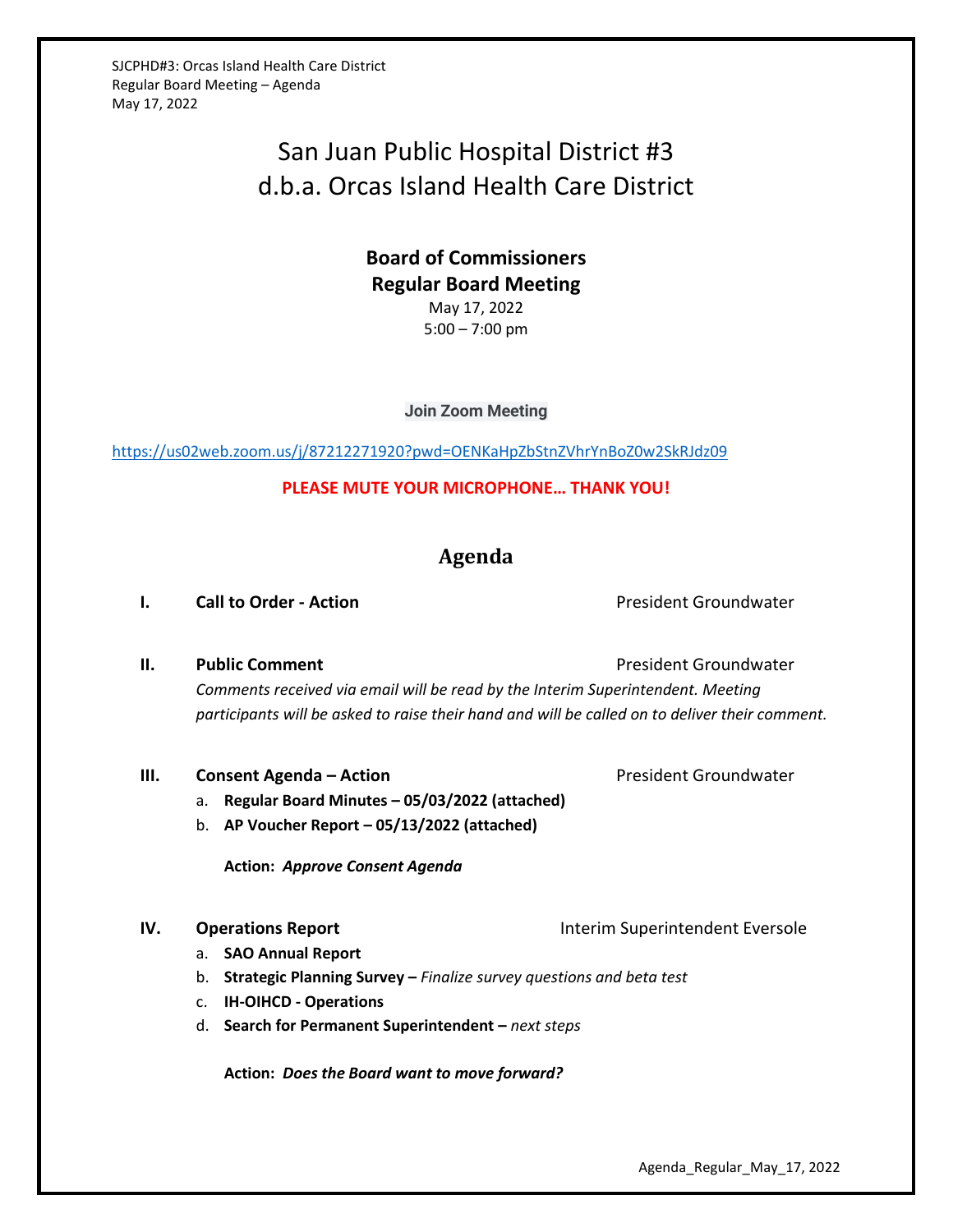SJCPHD#3: Orcas Island Health Care District Regular Board Meeting – Agenda May 17, 2022

# San Juan Public Hospital District #3 d.b.a. Orcas Island Health Care District

## **Board of Commissioners Regular Board Meeting** May 17, 2022 5:00 – 7:00 pm

**Join Zoom Meeting**

<https://us02web.zoom.us/j/87212271920?pwd=OENKaHpZbStnZVhrYnBoZ0w2SkRJdz09>

**PLEASE MUTE YOUR MICROPHONE… THANK YOU!**

## **Agenda**

**I. Call to Order - Action Call to Order - Action President Groundwater** 

**II. Public Comment President Groundwater President Groundwater** *Comments received via email will be read by the Interim Superintendent. Meeting participants will be asked to raise their hand and will be called on to deliver their comment.*

#### **III. Consent Agenda – Action Consexual Action President Groundwater**

- a. **Regular Board Minutes – 05/03/2022 (attached)**
- b. **AP Voucher Report – 05/13/2022 (attached)**

**Action:** *Approve Consent Agenda*

- a. **SAO Annual Report**
- b. **Strategic Planning Survey –** *Finalize survey questions and beta test*
- c. **IH-OIHCD - Operations**
- d. **Search for Permanent Superintendent –** *next steps*

**Action:** *Does the Board want to move forward?*

Agenda\_Regular\_May\_17, 2022

**IV. Operations Report Interim Superintendent Eversole**